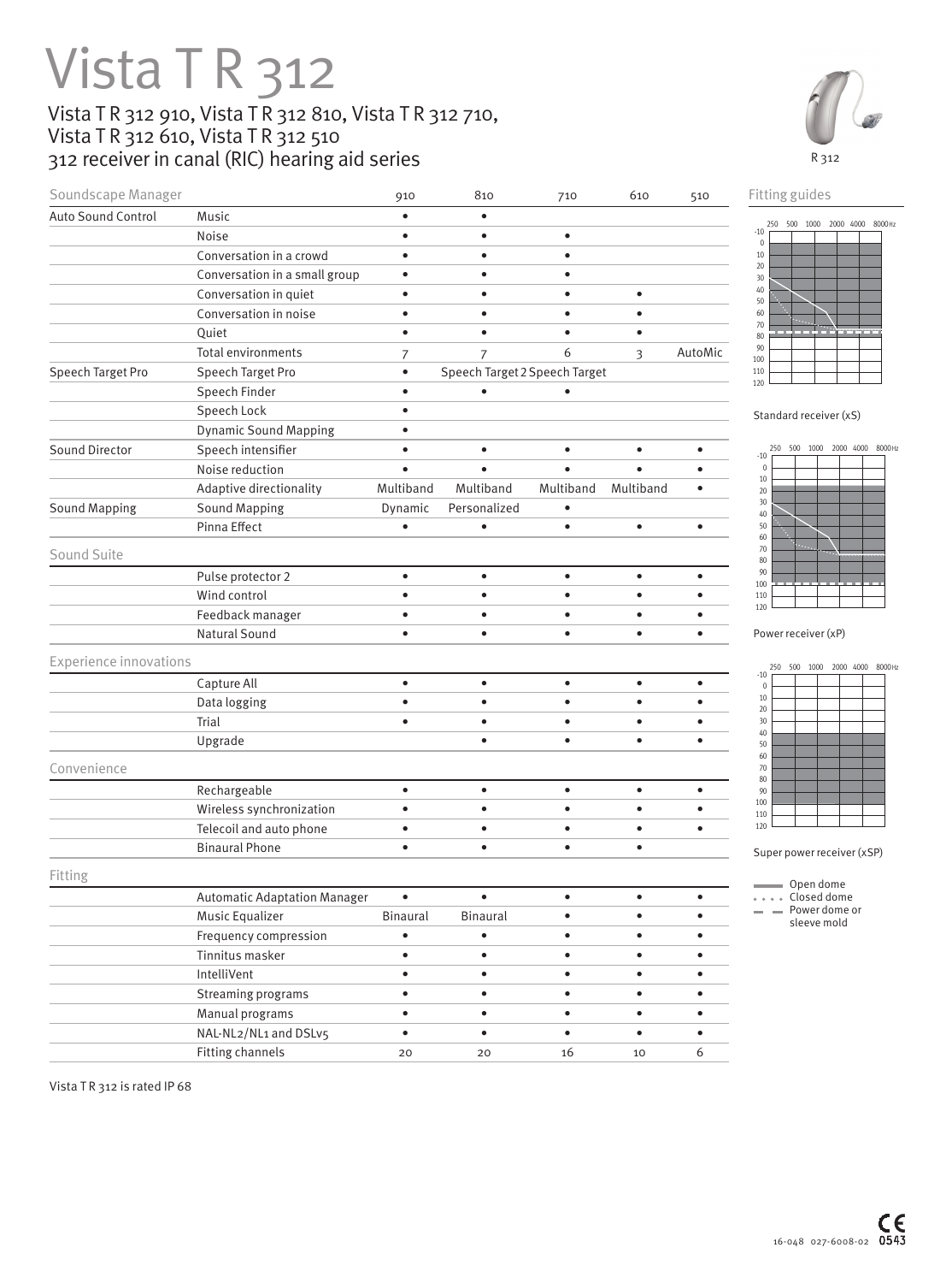## **Vista T R 312** Vista T R 312 910, Vista T R 312 810, Vista T R 312 710, Vista T R 312 610, Vista T R 312 510

312 receiver in canal (RIC) hearing aid series



| Auto Sound Control<br>Speech Target Pro<br>Sound Director<br><b>Sound Mapping</b><br>Sound Suite<br><b>Experience innovations</b><br>Convenience | Music<br>Noise<br>Conversation in a crowd<br>Conversation in a small group<br>Conversation in quiet<br>Conversation in noise<br>Quiet<br><b>Total environments</b><br>Speech Target Pro<br>Speech Finder<br>Speech Lock<br><b>Dynamic Sound Mapping</b><br>Speech intensifier<br>Noise reduction<br>Adaptive directionality<br><b>Sound Mapping</b><br>Pinna Effect | $\bullet$<br>$\bullet$<br>$\bullet$<br>$\bullet$<br>$\bullet$<br>$\bullet$<br>$\bullet$<br>$\overline{7}$<br>$\bullet$<br>$\bullet$<br>$\bullet$<br>$\bullet$<br>$\bullet$<br>$\bullet$<br>Multiband<br>Dynamic<br>$\bullet$ | $\bullet$<br>$\bullet$<br>$\bullet$<br>$\bullet$<br>$\bullet$<br>$\bullet$<br>$\bullet$<br>$\overline{7}$<br>Speech Target 2 Speech Target<br>$\bullet$<br>$\bullet$<br>$\bullet$<br>Multiband<br>Personalized | $\bullet$<br>$\bullet$<br>$\bullet$<br>$\bullet$<br>$\bullet$<br>6<br>Multiband | $\bullet$<br>$\bullet$<br>$\bullet$<br>3<br>$\bullet$<br>$\bullet$ | AutoMic<br>$\bullet$<br>$\bullet$ | 250 500 1000 2000 4000 8000Hz<br>$-10$<br>$\mathbb O$<br>$10\,$<br>20<br>30<br>40<br>50<br>60<br>70<br>80<br>90<br>100<br>110<br>120<br>Standard receiver (xS)<br>500<br>1000 2000 4000 8000Hz<br>250 |
|--------------------------------------------------------------------------------------------------------------------------------------------------|---------------------------------------------------------------------------------------------------------------------------------------------------------------------------------------------------------------------------------------------------------------------------------------------------------------------------------------------------------------------|------------------------------------------------------------------------------------------------------------------------------------------------------------------------------------------------------------------------------|----------------------------------------------------------------------------------------------------------------------------------------------------------------------------------------------------------------|---------------------------------------------------------------------------------|--------------------------------------------------------------------|-----------------------------------|-------------------------------------------------------------------------------------------------------------------------------------------------------------------------------------------------------|
|                                                                                                                                                  |                                                                                                                                                                                                                                                                                                                                                                     |                                                                                                                                                                                                                              |                                                                                                                                                                                                                |                                                                                 |                                                                    |                                   |                                                                                                                                                                                                       |
|                                                                                                                                                  |                                                                                                                                                                                                                                                                                                                                                                     |                                                                                                                                                                                                                              |                                                                                                                                                                                                                |                                                                                 |                                                                    |                                   |                                                                                                                                                                                                       |
|                                                                                                                                                  |                                                                                                                                                                                                                                                                                                                                                                     |                                                                                                                                                                                                                              |                                                                                                                                                                                                                |                                                                                 |                                                                    |                                   |                                                                                                                                                                                                       |
|                                                                                                                                                  |                                                                                                                                                                                                                                                                                                                                                                     |                                                                                                                                                                                                                              |                                                                                                                                                                                                                |                                                                                 |                                                                    |                                   |                                                                                                                                                                                                       |
|                                                                                                                                                  |                                                                                                                                                                                                                                                                                                                                                                     |                                                                                                                                                                                                                              |                                                                                                                                                                                                                |                                                                                 |                                                                    |                                   |                                                                                                                                                                                                       |
|                                                                                                                                                  |                                                                                                                                                                                                                                                                                                                                                                     |                                                                                                                                                                                                                              |                                                                                                                                                                                                                |                                                                                 |                                                                    |                                   |                                                                                                                                                                                                       |
|                                                                                                                                                  |                                                                                                                                                                                                                                                                                                                                                                     |                                                                                                                                                                                                                              |                                                                                                                                                                                                                |                                                                                 |                                                                    |                                   |                                                                                                                                                                                                       |
|                                                                                                                                                  |                                                                                                                                                                                                                                                                                                                                                                     |                                                                                                                                                                                                                              |                                                                                                                                                                                                                |                                                                                 |                                                                    |                                   |                                                                                                                                                                                                       |
|                                                                                                                                                  |                                                                                                                                                                                                                                                                                                                                                                     |                                                                                                                                                                                                                              |                                                                                                                                                                                                                |                                                                                 |                                                                    |                                   |                                                                                                                                                                                                       |
|                                                                                                                                                  |                                                                                                                                                                                                                                                                                                                                                                     |                                                                                                                                                                                                                              |                                                                                                                                                                                                                |                                                                                 |                                                                    |                                   |                                                                                                                                                                                                       |
|                                                                                                                                                  |                                                                                                                                                                                                                                                                                                                                                                     |                                                                                                                                                                                                                              |                                                                                                                                                                                                                |                                                                                 |                                                                    |                                   |                                                                                                                                                                                                       |
|                                                                                                                                                  |                                                                                                                                                                                                                                                                                                                                                                     |                                                                                                                                                                                                                              |                                                                                                                                                                                                                |                                                                                 |                                                                    |                                   |                                                                                                                                                                                                       |
|                                                                                                                                                  |                                                                                                                                                                                                                                                                                                                                                                     |                                                                                                                                                                                                                              |                                                                                                                                                                                                                |                                                                                 |                                                                    |                                   | $-10$                                                                                                                                                                                                 |
|                                                                                                                                                  |                                                                                                                                                                                                                                                                                                                                                                     |                                                                                                                                                                                                                              |                                                                                                                                                                                                                |                                                                                 |                                                                    |                                   | $\mathbb O$                                                                                                                                                                                           |
|                                                                                                                                                  |                                                                                                                                                                                                                                                                                                                                                                     |                                                                                                                                                                                                                              |                                                                                                                                                                                                                |                                                                                 | Multiband                                                          | $\bullet$                         | $10\,$<br>20                                                                                                                                                                                          |
|                                                                                                                                                  |                                                                                                                                                                                                                                                                                                                                                                     |                                                                                                                                                                                                                              |                                                                                                                                                                                                                | ٠                                                                               |                                                                    |                                   | 30<br>40                                                                                                                                                                                              |
|                                                                                                                                                  |                                                                                                                                                                                                                                                                                                                                                                     |                                                                                                                                                                                                                              | $\bullet$                                                                                                                                                                                                      | $\bullet$                                                                       | $\bullet$                                                          | $\bullet$                         | 50                                                                                                                                                                                                    |
|                                                                                                                                                  |                                                                                                                                                                                                                                                                                                                                                                     |                                                                                                                                                                                                                              |                                                                                                                                                                                                                |                                                                                 |                                                                    |                                   | 60<br>70<br>80                                                                                                                                                                                        |
|                                                                                                                                                  | Pulse protector 2                                                                                                                                                                                                                                                                                                                                                   | $\bullet$                                                                                                                                                                                                                    | $\bullet$                                                                                                                                                                                                      | $\bullet$                                                                       | $\bullet$                                                          | $\bullet$                         | 90                                                                                                                                                                                                    |
|                                                                                                                                                  | Wind control                                                                                                                                                                                                                                                                                                                                                        | $\bullet$                                                                                                                                                                                                                    | $\bullet$                                                                                                                                                                                                      | $\bullet$                                                                       | $\bullet$                                                          | $\bullet$                         | 100<br>110                                                                                                                                                                                            |
|                                                                                                                                                  | Feedback manager                                                                                                                                                                                                                                                                                                                                                    | $\bullet$                                                                                                                                                                                                                    | $\bullet$                                                                                                                                                                                                      | $\bullet$                                                                       | $\bullet$                                                          | $\bullet$                         | 120                                                                                                                                                                                                   |
|                                                                                                                                                  | <b>Natural Sound</b>                                                                                                                                                                                                                                                                                                                                                | $\bullet$                                                                                                                                                                                                                    | $\bullet$                                                                                                                                                                                                      | $\bullet$                                                                       | $\bullet$                                                          | $\bullet$                         | Power receiver (xP)                                                                                                                                                                                   |
|                                                                                                                                                  |                                                                                                                                                                                                                                                                                                                                                                     |                                                                                                                                                                                                                              |                                                                                                                                                                                                                |                                                                                 |                                                                    |                                   |                                                                                                                                                                                                       |
|                                                                                                                                                  | Capture All                                                                                                                                                                                                                                                                                                                                                         | $\bullet$                                                                                                                                                                                                                    | $\bullet$                                                                                                                                                                                                      | $\bullet$                                                                       | $\bullet$                                                          | $\bullet$                         | 500<br>1000 2000 4000 8000Hz<br>250<br>$-10$                                                                                                                                                          |
|                                                                                                                                                  | Data logging                                                                                                                                                                                                                                                                                                                                                        | $\bullet$                                                                                                                                                                                                                    | $\bullet$                                                                                                                                                                                                      | $\bullet$                                                                       | $\bullet$                                                          | $\bullet$                         | $\mathbb O$<br>$10\,$                                                                                                                                                                                 |
|                                                                                                                                                  | Trial                                                                                                                                                                                                                                                                                                                                                               | $\bullet$                                                                                                                                                                                                                    | $\bullet$                                                                                                                                                                                                      | $\bullet$                                                                       | $\bullet$                                                          | $\bullet$                         | 20<br>30                                                                                                                                                                                              |
|                                                                                                                                                  | Upgrade                                                                                                                                                                                                                                                                                                                                                             |                                                                                                                                                                                                                              | $\bullet$                                                                                                                                                                                                      | $\bullet$                                                                       | $\bullet$                                                          | $\bullet$                         | 40                                                                                                                                                                                                    |
|                                                                                                                                                  |                                                                                                                                                                                                                                                                                                                                                                     |                                                                                                                                                                                                                              |                                                                                                                                                                                                                |                                                                                 |                                                                    |                                   | 50<br>60                                                                                                                                                                                              |
|                                                                                                                                                  |                                                                                                                                                                                                                                                                                                                                                                     |                                                                                                                                                                                                                              |                                                                                                                                                                                                                |                                                                                 |                                                                    |                                   | 70<br>80                                                                                                                                                                                              |
|                                                                                                                                                  | Rechargeable                                                                                                                                                                                                                                                                                                                                                        | $\bullet$                                                                                                                                                                                                                    | $\bullet$                                                                                                                                                                                                      | $\bullet$                                                                       | $\bullet$                                                          | $\bullet$                         | 90                                                                                                                                                                                                    |
|                                                                                                                                                  | Wireless synchronization                                                                                                                                                                                                                                                                                                                                            | $\bullet$                                                                                                                                                                                                                    | $\bullet$                                                                                                                                                                                                      | $\bullet$                                                                       | $\bullet$                                                          | $\bullet$                         | 100<br>110                                                                                                                                                                                            |
|                                                                                                                                                  | Telecoil and auto phone                                                                                                                                                                                                                                                                                                                                             | $\bullet$                                                                                                                                                                                                                    | $\bullet$                                                                                                                                                                                                      | $\bullet$                                                                       | $\bullet$                                                          | $\bullet$                         | 120                                                                                                                                                                                                   |
|                                                                                                                                                  | <b>Binaural Phone</b>                                                                                                                                                                                                                                                                                                                                               | $\bullet$                                                                                                                                                                                                                    | $\bullet$                                                                                                                                                                                                      | $\bullet$                                                                       | $\bullet$                                                          |                                   | Super power receiver (xSP)                                                                                                                                                                            |
| Fitting                                                                                                                                          |                                                                                                                                                                                                                                                                                                                                                                     |                                                                                                                                                                                                                              |                                                                                                                                                                                                                |                                                                                 |                                                                    |                                   |                                                                                                                                                                                                       |
|                                                                                                                                                  | <b>Automatic Adaptation Manager</b>                                                                                                                                                                                                                                                                                                                                 | $\bullet$                                                                                                                                                                                                                    | $\bullet$                                                                                                                                                                                                      | $\bullet$                                                                       | $\bullet$                                                          | $\bullet$                         | Open dome<br>Closed dome                                                                                                                                                                              |
|                                                                                                                                                  | Music Equalizer                                                                                                                                                                                                                                                                                                                                                     | Binaural                                                                                                                                                                                                                     | Binaural                                                                                                                                                                                                       | $\bullet$                                                                       | $\bullet$                                                          | $\bullet$                         | $=$ $=$ Power dome or<br>sleeve mold                                                                                                                                                                  |
|                                                                                                                                                  | Frequency compression                                                                                                                                                                                                                                                                                                                                               | $\bullet$                                                                                                                                                                                                                    | $\bullet$                                                                                                                                                                                                      | $\bullet$                                                                       | $\bullet$                                                          | $\bullet$                         |                                                                                                                                                                                                       |
|                                                                                                                                                  | Tinnitus masker                                                                                                                                                                                                                                                                                                                                                     | $\bullet$                                                                                                                                                                                                                    | $\bullet$                                                                                                                                                                                                      | $\bullet$                                                                       | $\bullet$                                                          | $\bullet$                         |                                                                                                                                                                                                       |
|                                                                                                                                                  | IntelliVent                                                                                                                                                                                                                                                                                                                                                         | $\bullet$                                                                                                                                                                                                                    | $\bullet$                                                                                                                                                                                                      | $\bullet$                                                                       | $\bullet$                                                          | $\bullet$                         |                                                                                                                                                                                                       |
|                                                                                                                                                  | Streaming programs                                                                                                                                                                                                                                                                                                                                                  | $\bullet$                                                                                                                                                                                                                    | $\bullet$                                                                                                                                                                                                      | $\bullet$                                                                       | $\bullet$                                                          | $\bullet$                         |                                                                                                                                                                                                       |
|                                                                                                                                                  |                                                                                                                                                                                                                                                                                                                                                                     | $\bullet$                                                                                                                                                                                                                    | $\bullet$                                                                                                                                                                                                      | $\bullet$                                                                       | $\bullet$                                                          | $\bullet$                         |                                                                                                                                                                                                       |
|                                                                                                                                                  |                                                                                                                                                                                                                                                                                                                                                                     | $\bullet$                                                                                                                                                                                                                    | $\bullet$                                                                                                                                                                                                      | $\bullet$                                                                       | $\bullet$                                                          | $\bullet$                         |                                                                                                                                                                                                       |
| <b>Fitting channels</b>                                                                                                                          | Manual programs<br>NAL-NL2/NL1 and DSLv5                                                                                                                                                                                                                                                                                                                            | 20                                                                                                                                                                                                                           | 20                                                                                                                                                                                                             | 16                                                                              | 10                                                                 | 6                                 |                                                                                                                                                                                                       |

Vista TR 312 is rated IP 68



en dome